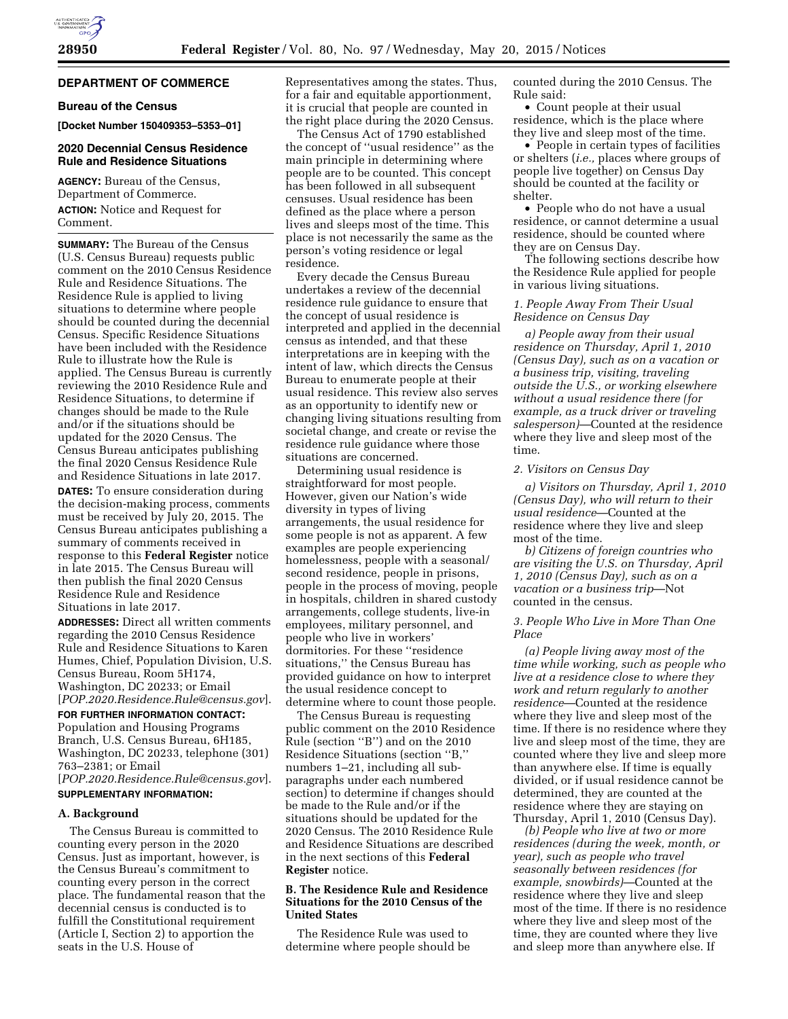# **DEPARTMENT OF COMMERCE**

### **Bureau of the Census**

**[Docket Number 150409353–5353–01]** 

# **2020 Decennial Census Residence Rule and Residence Situations**

**AGENCY:** Bureau of the Census, Department of Commerce. **ACTION:** Notice and Request for Comment.

**SUMMARY:** The Bureau of the Census (U.S. Census Bureau) requests public comment on the 2010 Census Residence Rule and Residence Situations. The Residence Rule is applied to living situations to determine where people should be counted during the decennial Census. Specific Residence Situations have been included with the Residence Rule to illustrate how the Rule is applied. The Census Bureau is currently reviewing the 2010 Residence Rule and Residence Situations, to determine if changes should be made to the Rule and/or if the situations should be updated for the 2020 Census. The Census Bureau anticipates publishing the final 2020 Census Residence Rule and Residence Situations in late 2017.

**DATES:** To ensure consideration during the decision-making process, comments must be received by July 20, 2015. The Census Bureau anticipates publishing a summary of comments received in response to this **Federal Register** notice in late 2015. The Census Bureau will then publish the final 2020 Census Residence Rule and Residence Situations in late 2017.

**ADDRESSES:** Direct all written comments regarding the 2010 Census Residence Rule and Residence Situations to Karen Humes, Chief, Population Division, U.S. Census Bureau, Room 5H174, Washington, DC 20233; or Email [*[POP.2020.Residence.Rule@census.gov](mailto:POP.2020.Residence.Rule@census.gov)*].

**FOR FURTHER INFORMATION CONTACT:**  Population and Housing Programs Branch, U.S. Census Bureau, 6H185, Washington, DC 20233, telephone (301) 763–2381; or Email [*[POP.2020.Residence.Rule@census.gov](mailto:POP.2020.Residence.Rule@census.gov)*].

**SUPPLEMENTARY INFORMATION:** 

### **A. Background**

The Census Bureau is committed to counting every person in the 2020 Census. Just as important, however, is the Census Bureau's commitment to counting every person in the correct place. The fundamental reason that the decennial census is conducted is to fulfill the Constitutional requirement (Article I, Section 2) to apportion the seats in the U.S. House of

Representatives among the states. Thus, for a fair and equitable apportionment, it is crucial that people are counted in the right place during the 2020 Census.

The Census Act of 1790 established the concept of ''usual residence'' as the main principle in determining where people are to be counted. This concept has been followed in all subsequent censuses. Usual residence has been defined as the place where a person lives and sleeps most of the time. This place is not necessarily the same as the person's voting residence or legal residence.

Every decade the Census Bureau undertakes a review of the decennial residence rule guidance to ensure that the concept of usual residence is interpreted and applied in the decennial census as intended, and that these interpretations are in keeping with the intent of law, which directs the Census Bureau to enumerate people at their usual residence. This review also serves as an opportunity to identify new or changing living situations resulting from societal change, and create or revise the residence rule guidance where those situations are concerned.

Determining usual residence is straightforward for most people. However, given our Nation's wide diversity in types of living arrangements, the usual residence for some people is not as apparent. A few examples are people experiencing homelessness, people with a seasonal/ second residence, people in prisons, people in the process of moving, people in hospitals, children in shared custody arrangements, college students, live-in employees, military personnel, and people who live in workers' dormitories. For these ''residence situations,'' the Census Bureau has provided guidance on how to interpret the usual residence concept to determine where to count those people.

The Census Bureau is requesting public comment on the 2010 Residence Rule (section ''B'') and on the 2010 Residence Situations (section ''B,'' numbers 1–21, including all subparagraphs under each numbered section) to determine if changes should be made to the Rule and/or if the situations should be updated for the 2020 Census. The 2010 Residence Rule and Residence Situations are described in the next sections of this **Federal Register** notice.

## **B. The Residence Rule and Residence Situations for the 2010 Census of the United States**

The Residence Rule was used to determine where people should be counted during the 2010 Census. The Rule said:

• Count people at their usual residence, which is the place where they live and sleep most of the time.

• People in certain types of facilities or shelters (*i.e.,* places where groups of people live together) on Census Day should be counted at the facility or shelter.

• People who do not have a usual residence, or cannot determine a usual residence, should be counted where they are on Census Day.

The following sections describe how the Residence Rule applied for people in various living situations.

## *1. People Away From Their Usual Residence on Census Day*

*a) People away from their usual residence on Thursday, April 1, 2010 (Census Day), such as on a vacation or a business trip, visiting, traveling outside the U.S., or working elsewhere without a usual residence there (for example, as a truck driver or traveling salesperson)*—Counted at the residence where they live and sleep most of the time.

#### *2. Visitors on Census Day*

*a) Visitors on Thursday, April 1, 2010 (Census Day), who will return to their usual residence*—Counted at the residence where they live and sleep most of the time.

*b) Citizens of foreign countries who are visiting the U.S. on Thursday, April 1, 2010 (Census Day), such as on a vacation or a business trip*—Not counted in the census.

## *3. People Who Live in More Than One Place*

*(a) People living away most of the time while working, such as people who live at a residence close to where they work and return regularly to another residence*—Counted at the residence where they live and sleep most of the time. If there is no residence where they live and sleep most of the time, they are counted where they live and sleep more than anywhere else. If time is equally divided, or if usual residence cannot be determined, they are counted at the residence where they are staying on Thursday, April 1, 2010 (Census Day).

*(b) People who live at two or more residences (during the week, month, or year), such as people who travel seasonally between residences (for example, snowbirds)*—Counted at the residence where they live and sleep most of the time. If there is no residence where they live and sleep most of the time, they are counted where they live and sleep more than anywhere else. If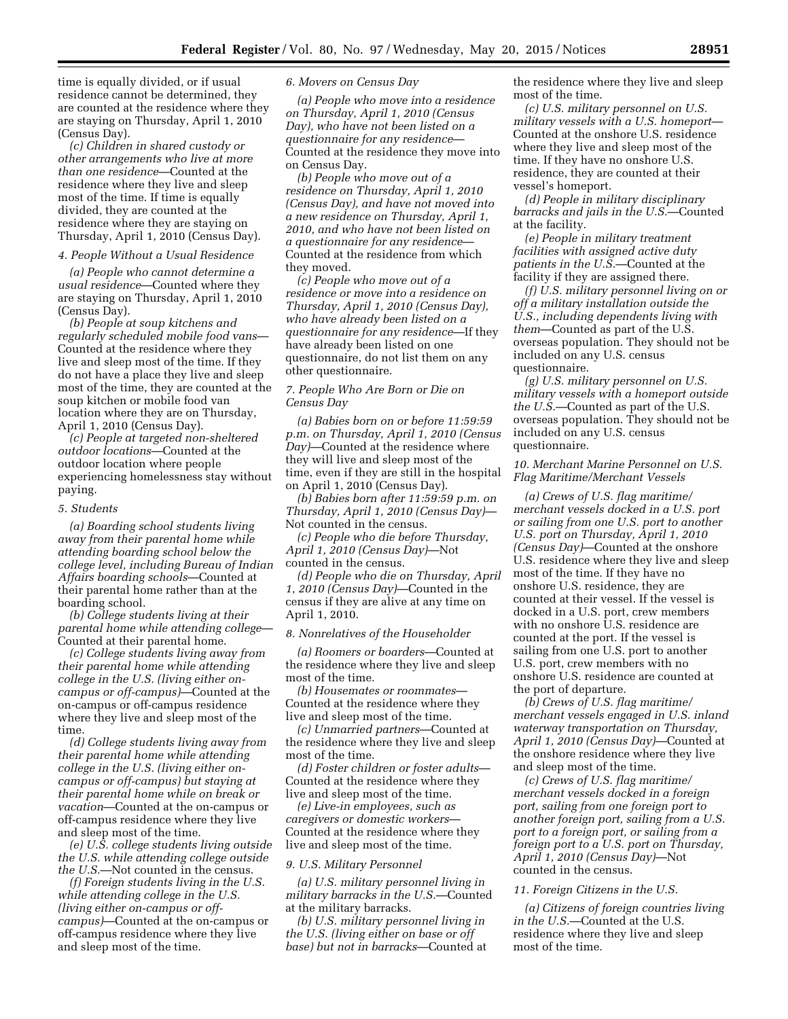time is equally divided, or if usual residence cannot be determined, they are counted at the residence where they are staying on Thursday, April 1, 2010 (Census Day).

*(c) Children in shared custody or other arrangements who live at more than one residence*—Counted at the residence where they live and sleep most of the time. If time is equally divided, they are counted at the residence where they are staying on Thursday, April 1, 2010 (Census Day).

# *4. People Without a Usual Residence*

*(a) People who cannot determine a usual residence*—Counted where they are staying on Thursday, April 1, 2010 (Census Day).

*(b) People at soup kitchens and regularly scheduled mobile food vans*— Counted at the residence where they live and sleep most of the time. If they do not have a place they live and sleep most of the time, they are counted at the soup kitchen or mobile food van location where they are on Thursday, April 1, 2010 (Census Day).

*(c) People at targeted non-sheltered outdoor locations*—Counted at the outdoor location where people experiencing homelessness stay without paying.

#### *5. Students*

*(a) Boarding school students living away from their parental home while attending boarding school below the college level, including Bureau of Indian Affairs boarding schools*—Counted at their parental home rather than at the boarding school.

*(b) College students living at their parental home while attending college*— Counted at their parental home.

*(c) College students living away from their parental home while attending college in the U.S. (living either oncampus or off-campus)*—Counted at the on-campus or off-campus residence where they live and sleep most of the time.

*(d) College students living away from their parental home while attending college in the U.S. (living either oncampus or off-campus) but staying at their parental home while on break or vacation*—Counted at the on-campus or off-campus residence where they live and sleep most of the time.

*(e) U.S. college students living outside the U.S. while attending college outside the U.S.*—Not counted in the census.

*(f) Foreign students living in the U.S. while attending college in the U.S. (living either on-campus or offcampus)*—Counted at the on-campus or off-campus residence where they live and sleep most of the time.

## *6. Movers on Census Day*

*(a) People who move into a residence on Thursday, April 1, 2010 (Census Day), who have not been listed on a questionnaire for any residence*— Counted at the residence they move into on Census Day.

*(b) People who move out of a residence on Thursday, April 1, 2010 (Census Day), and have not moved into a new residence on Thursday, April 1, 2010, and who have not been listed on a questionnaire for any residence*— Counted at the residence from which they moved.

*(c) People who move out of a residence or move into a residence on Thursday, April 1, 2010 (Census Day), who have already been listed on a questionnaire for any residence*—If they have already been listed on one questionnaire, do not list them on any other questionnaire.

## *7. People Who Are Born or Die on Census Day*

*(a) Babies born on or before 11:59:59 p.m. on Thursday, April 1, 2010 (Census Day)*—Counted at the residence where they will live and sleep most of the time, even if they are still in the hospital on April 1, 2010 (Census Day).

*(b) Babies born after 11:59:59 p.m. on Thursday, April 1, 2010 (Census Day)*— Not counted in the census.

*(c) People who die before Thursday, April 1, 2010 (Census Day)*—Not counted in the census.

*(d) People who die on Thursday, April 1, 2010 (Census Day)*—Counted in the census if they are alive at any time on April 1, 2010.

#### *8. Nonrelatives of the Householder*

*(a) Roomers or boarders*—Counted at the residence where they live and sleep most of the time.

*(b) Housemates or roommates*— Counted at the residence where they live and sleep most of the time.

*(c) Unmarried partners*—Counted at the residence where they live and sleep most of the time.

*(d) Foster children or foster adults*— Counted at the residence where they live and sleep most of the time.

*(e) Live-in employees, such as caregivers or domestic workers*— Counted at the residence where they live and sleep most of the time.

#### *9. U.S. Military Personnel*

*(a) U.S. military personnel living in military barracks in the U.S.*—Counted at the military barracks.

*(b) U.S. military personnel living in the U.S. (living either on base or off base) but not in barracks*—Counted at the residence where they live and sleep most of the time.

*(c) U.S. military personnel on U.S. military vessels with a U.S. homeport*— Counted at the onshore U.S. residence where they live and sleep most of the time. If they have no onshore U.S. residence, they are counted at their vessel's homeport.

*(d) People in military disciplinary barracks and jails in the U.S.*—Counted at the facility.

*(e) People in military treatment facilities with assigned active duty patients in the U.S.*—Counted at the facility if they are assigned there.

*(f) U.S. military personnel living on or off a military installation outside the U.S., including dependents living with them*—Counted as part of the U.S. overseas population. They should not be included on any U.S. census questionnaire.

*(g) U.S. military personnel on U.S. military vessels with a homeport outside the U.S.*—Counted as part of the U.S. overseas population. They should not be included on any U.S. census questionnaire.

## *10. Merchant Marine Personnel on U.S. Flag Maritime/Merchant Vessels*

*(a) Crews of U.S. flag maritime/ merchant vessels docked in a U.S. port or sailing from one U.S. port to another U.S. port on Thursday, April 1, 2010 (Census Day)*—Counted at the onshore U.S. residence where they live and sleep most of the time. If they have no onshore U.S. residence, they are counted at their vessel. If the vessel is docked in a U.S. port, crew members with no onshore U.S. residence are counted at the port. If the vessel is sailing from one U.S. port to another U.S. port, crew members with no onshore U.S. residence are counted at the port of departure.

*(b) Crews of U.S. flag maritime/ merchant vessels engaged in U.S. inland waterway transportation on Thursday, April 1, 2010 (Census Day)*—Counted at the onshore residence where they live and sleep most of the time.

*(c) Crews of U.S. flag maritime/ merchant vessels docked in a foreign port, sailing from one foreign port to another foreign port, sailing from a U.S. port to a foreign port, or sailing from a foreign port to a U.S. port on Thursday, April 1, 2010 (Census Day)*—Not counted in the census.

### *11. Foreign Citizens in the U.S.*

*(a) Citizens of foreign countries living in the U.S.*—Counted at the U.S. residence where they live and sleep most of the time.